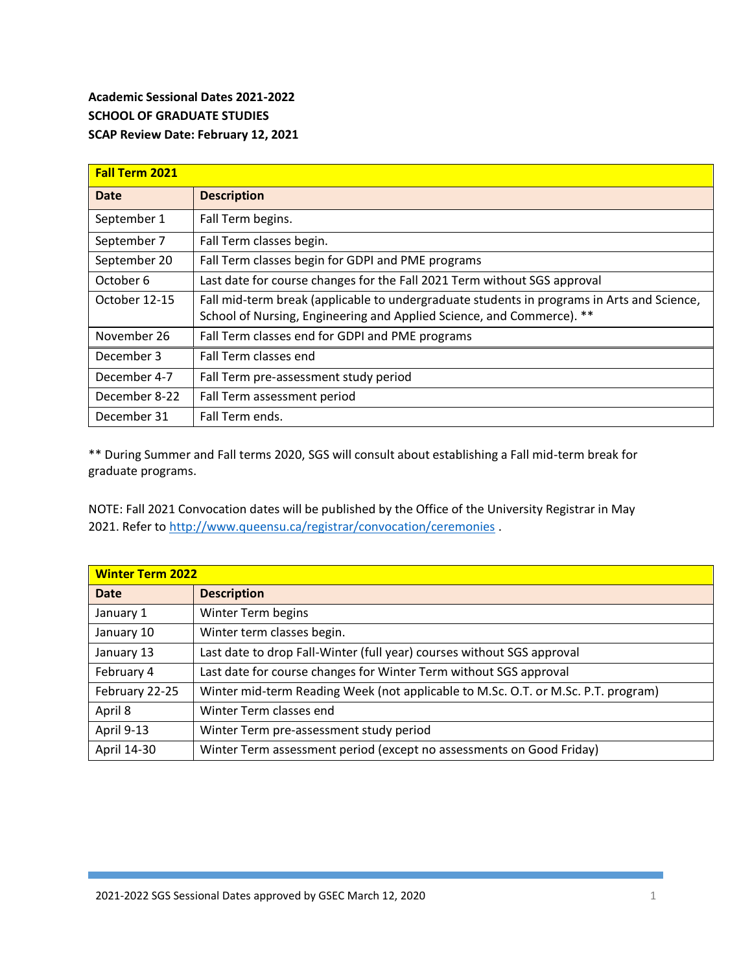## **Academic Sessional Dates 2021-2022 SCHOOL OF GRADUATE STUDIES SCAP Review Date: February 12, 2021**

| <b>Fall Term 2021</b> |                                                                                                                                                                     |  |
|-----------------------|---------------------------------------------------------------------------------------------------------------------------------------------------------------------|--|
| <b>Date</b>           | <b>Description</b>                                                                                                                                                  |  |
| September 1           | Fall Term begins.                                                                                                                                                   |  |
| September 7           | Fall Term classes begin.                                                                                                                                            |  |
| September 20          | Fall Term classes begin for GDPI and PME programs                                                                                                                   |  |
| October 6             | Last date for course changes for the Fall 2021 Term without SGS approval                                                                                            |  |
| October 12-15         | Fall mid-term break (applicable to undergraduate students in programs in Arts and Science,<br>School of Nursing, Engineering and Applied Science, and Commerce). ** |  |
| November 26           | Fall Term classes end for GDPI and PME programs                                                                                                                     |  |
| December 3            | Fall Term classes end                                                                                                                                               |  |
| December 4-7          | Fall Term pre-assessment study period                                                                                                                               |  |
| December 8-22         | Fall Term assessment period                                                                                                                                         |  |
| December 31           | Fall Term ends.                                                                                                                                                     |  |

\*\* During Summer and Fall terms 2020, SGS will consult about establishing a Fall mid-term break for graduate programs.

NOTE: Fall 2021 Convocation dates will be published by the Office of the University Registrar in May 2021. Refer to<http://www.queensu.ca/registrar/convocation/ceremonies> .

| <b>Winter Term 2022</b> |                                                                                   |  |
|-------------------------|-----------------------------------------------------------------------------------|--|
| <b>Date</b>             | <b>Description</b>                                                                |  |
| January 1               | Winter Term begins                                                                |  |
| January 10              | Winter term classes begin.                                                        |  |
| January 13              | Last date to drop Fall-Winter (full year) courses without SGS approval            |  |
| February 4              | Last date for course changes for Winter Term without SGS approval                 |  |
| February 22-25          | Winter mid-term Reading Week (not applicable to M.Sc. O.T. or M.Sc. P.T. program) |  |
| April 8                 | Winter Term classes end                                                           |  |
| April 9-13              | Winter Term pre-assessment study period                                           |  |
| April 14-30             | Winter Term assessment period (except no assessments on Good Friday)              |  |